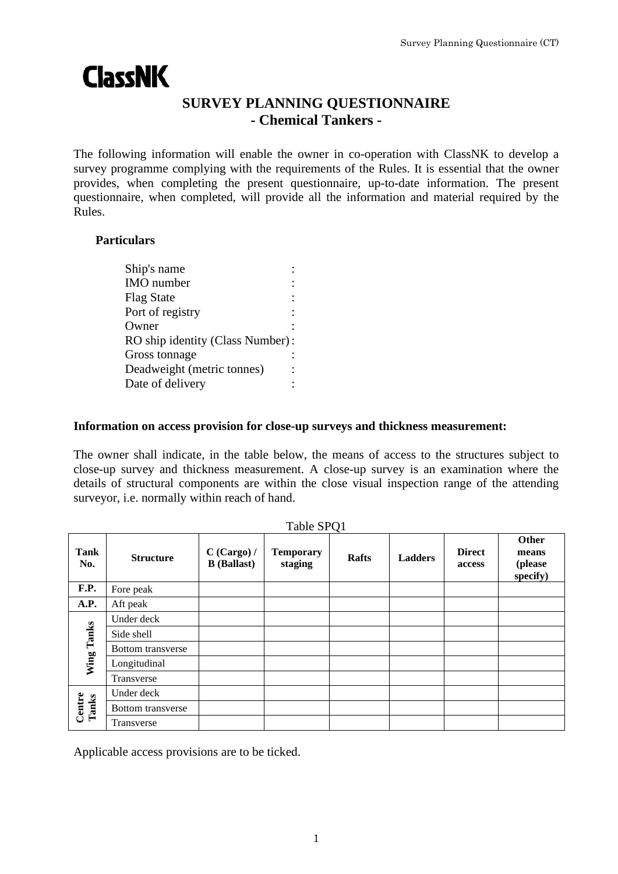# **ClassNK**

# **SURVEY PLANNING QUESTIONNAIRE - Chemical Tankers -**

The following information will enable the owner in co-operation with ClassNK to develop a survey programme complying with the requirements of the Rules. It is essential that the owner provides, when completing the present questionnaire, up-to-date information. The present questionnaire, when completed, will provide all the information and material required by the Rules.

### **Particulars**

| Ship's name                      |  |
|----------------------------------|--|
| <b>IMO</b> number                |  |
| <b>Flag State</b>                |  |
| Port of registry                 |  |
| Owner                            |  |
| RO ship identity (Class Number): |  |
| Gross tonnage                    |  |
| Deadweight (metric tonnes)       |  |
| Date of delivery                 |  |
|                                  |  |

#### **Information on access provision for close-up surveys and thickness measurement:**

The owner shall indicate, in the table below, the means of access to the structures subject to close-up survey and thickness measurement. A close-up survey is an examination where the details of structural components are within the close visual inspection range of the attending surveyor, i.e. normally within reach of hand.

|                 | Table SPQ1               |                                   |                             |              |                |                         |                                       |
|-----------------|--------------------------|-----------------------------------|-----------------------------|--------------|----------------|-------------------------|---------------------------------------|
| Tank<br>No.     | <b>Structure</b>         | C (Cargo) /<br><b>B</b> (Ballast) | <b>Temporary</b><br>staging | <b>Rafts</b> | <b>Ladders</b> | <b>Direct</b><br>access | Other<br>means<br>(please<br>specify) |
| F.P.            | Fore peak                |                                   |                             |              |                |                         |                                       |
| A.P.            | Aft peak                 |                                   |                             |              |                |                         |                                       |
| Wing Tanks      | Under deck               |                                   |                             |              |                |                         |                                       |
|                 | Side shell               |                                   |                             |              |                |                         |                                       |
|                 | Bottom transverse        |                                   |                             |              |                |                         |                                       |
|                 | Longitudinal             |                                   |                             |              |                |                         |                                       |
|                 | Transverse               |                                   |                             |              |                |                         |                                       |
| Centre<br>Tanks | Under deck               |                                   |                             |              |                |                         |                                       |
|                 | <b>Bottom</b> transverse |                                   |                             |              |                |                         |                                       |
|                 | Transverse               |                                   |                             |              |                |                         |                                       |

Applicable access provisions are to be ticked.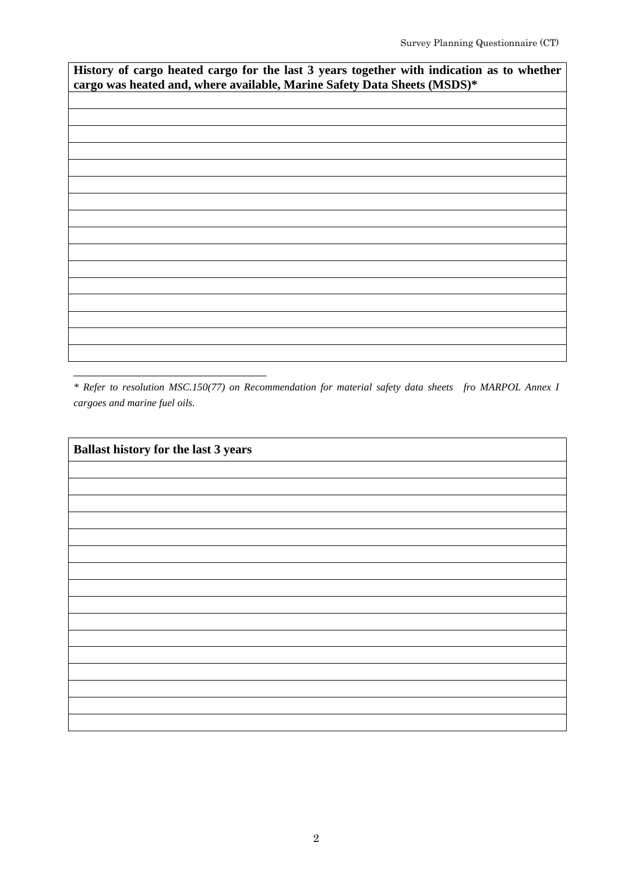**History of cargo heated cargo for the last 3 years together with indication as to whether cargo was heated and, where available, Marine Safety Data Sheets (MSDS)\***

*\* Refer to resolution MSC.150(77) on Recommendation for material safety data sheets fro MARPOL Annex I cargoes and marine fuel oils.*

\_\_\_\_\_\_\_\_\_\_\_\_\_\_\_\_\_\_\_\_\_\_\_\_\_\_\_\_\_\_\_

**Ballast history for the last 3 years**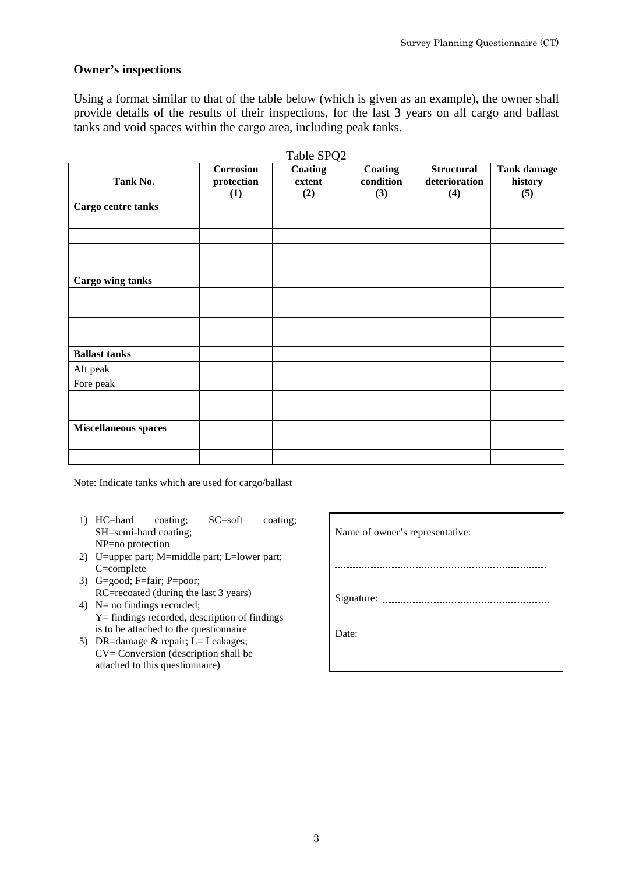#### **Owner's inspections**

Using a format similar to that of the table below (which is given as an example), the owner shall provide details of the results of their inspections, for the last 3 years on all cargo and ballast tanks and void spaces within the cargo area, including peak tanks.

|                             | <b>Corrosion</b> | Table SPQ2<br>Coating | Coating   | <b>Structural</b> | <b>Tank damage</b> |
|-----------------------------|------------------|-----------------------|-----------|-------------------|--------------------|
| Tank No.                    | protection       | extent                | condition | deterioration     | history            |
|                             | (1)              | (2)                   | (3)       | (4)               | (5)                |
| Cargo centre tanks          |                  |                       |           |                   |                    |
|                             |                  |                       |           |                   |                    |
|                             |                  |                       |           |                   |                    |
|                             |                  |                       |           |                   |                    |
|                             |                  |                       |           |                   |                    |
|                             |                  |                       |           |                   |                    |
| <b>Cargo wing tanks</b>     |                  |                       |           |                   |                    |
|                             |                  |                       |           |                   |                    |
|                             |                  |                       |           |                   |                    |
|                             |                  |                       |           |                   |                    |
|                             |                  |                       |           |                   |                    |
| <b>Ballast tanks</b>        |                  |                       |           |                   |                    |
| Aft peak                    |                  |                       |           |                   |                    |
| Fore peak                   |                  |                       |           |                   |                    |
|                             |                  |                       |           |                   |                    |
|                             |                  |                       |           |                   |                    |
| <b>Miscellaneous spaces</b> |                  |                       |           |                   |                    |
|                             |                  |                       |           |                   |                    |
|                             |                  |                       |           |                   |                    |

Note: Indicate tanks which are used for cargo/ballast

- 1) HC=hard coating; SC=soft coating; SH=semi-hard coating; NP=no protection
- 2) U=upper part; M=middle part; L=lower part; C=complete
- 3) G=good; F=fair; P=poor; RC=recoated (during the last 3 years)
- 4) N= no findings recorded; Y= findings recorded, description of findings is to be attached to the questionnaire
- 5) DR=damage & repair; L= Leakages; CV= Conversion (description shall be attached to this questionnaire)

| Name of owner's representative: |
|---------------------------------|
|                                 |
|                                 |
|                                 |
|                                 |